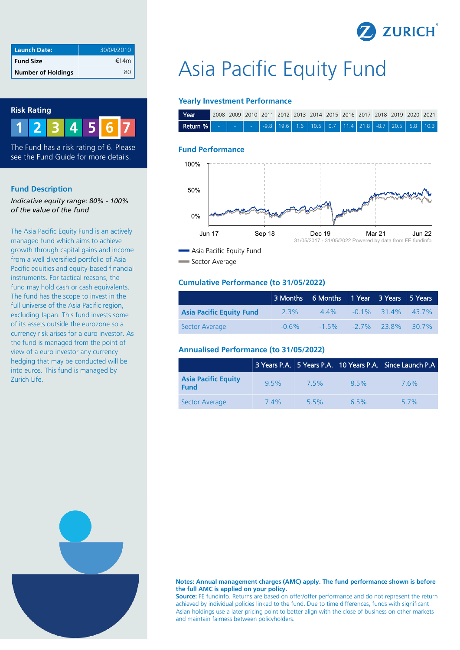

| Launch Date:              | 30/04/2010 |
|---------------------------|------------|
| <b>Fund Size</b>          | €14m       |
| <b>Number of Holdings</b> |            |



**1 2 3 4 5 7 6**

The Fund has a risk rating of 6. Please see the Fund Guide for more details.

#### **Fund Description**

*Indicative equity range: 80% - 100% of the value of the fund*

The Asia Pacific Equity Fund is an actively managed fund which aims to achieve growth through capital gains and income from a well diversified portfolio of Asia Pacific equities and equity-based financial instruments. For tactical reasons, the fund may hold cash or cash equivalents. The fund has the scope to invest in the full universe of the Asia Pacific region, excluding Japan. This fund invests some of its assets outside the eurozone so a currency risk arises for a euro investor. As the fund is managed from the point of view of a euro investor any currency hedging that may be conducted will be into euros. This fund is managed by Zurich Life.

# Asia Pacific Equity Fund

## **Yearly Investment Performance**

| Year |  |  |  |  |  | 2008 2009 2010 2011 2012 2013 2014 2015 2016 2017 2018 2019 2020 2021 |  |
|------|--|--|--|--|--|-----------------------------------------------------------------------|--|
|      |  |  |  |  |  |                                                                       |  |

#### **Fund Performance**



Sector Average

#### **Cumulative Performance (to 31/05/2022)**

|                                 |          | 3 Months 6 Months 1 Year 3 Years 5 Years |                                     |  |
|---------------------------------|----------|------------------------------------------|-------------------------------------|--|
| <b>Asia Pacific Equity Fund</b> | 2.3%     |                                          | $4.4\%$ $-0.1\%$ 31.4% 43.7%        |  |
| Sector Average                  | $-0.6\%$ |                                          | $-1.5\%$ $-2.7\%$ $23.8\%$ $30.7\%$ |  |

### **Annualised Performance (to 31/05/2022)**

|                                           |         |      |      | 3 Years P.A. 5 Years P.A. 10 Years P.A. Since Launch P.A |
|-------------------------------------------|---------|------|------|----------------------------------------------------------|
| <b>Asia Pacific Equity</b><br><b>Fund</b> | $9.5\%$ | 75%  | 8.5% | 76%                                                      |
| Sector Average                            | 74%     | 5.5% | 6.5% | 57%                                                      |

**Notes: Annual management charges (AMC) apply. The fund performance shown is before the full AMC is applied on your policy. Source:** FE fundinfo. Returns are based on offer/offer performance and do not represent the return

achieved by individual policies linked to the fund. Due to time differences, funds with significant Asian holdings use a later pricing point to better align with the close of business on other markets and maintain fairness between policyholders.